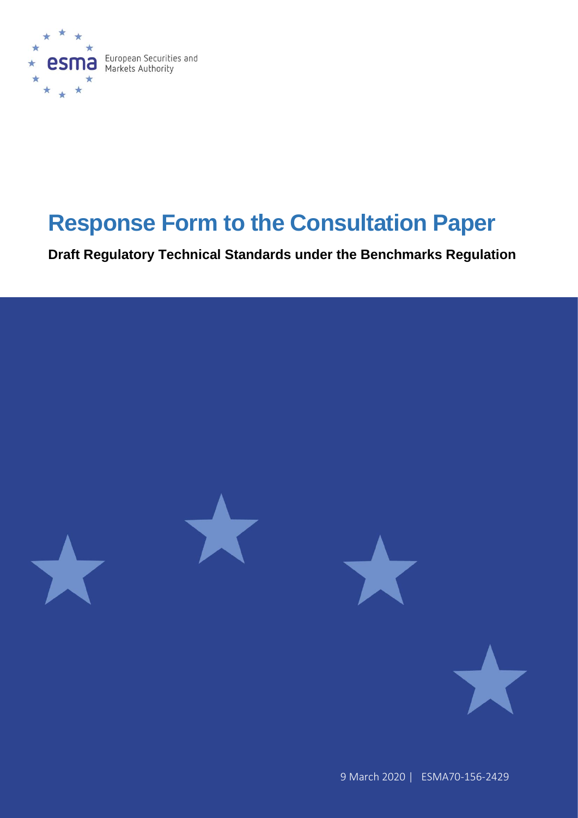

# **Response Form to the Consultation Paper**

**Draft Regulatory Technical Standards under the Benchmarks Regulation**

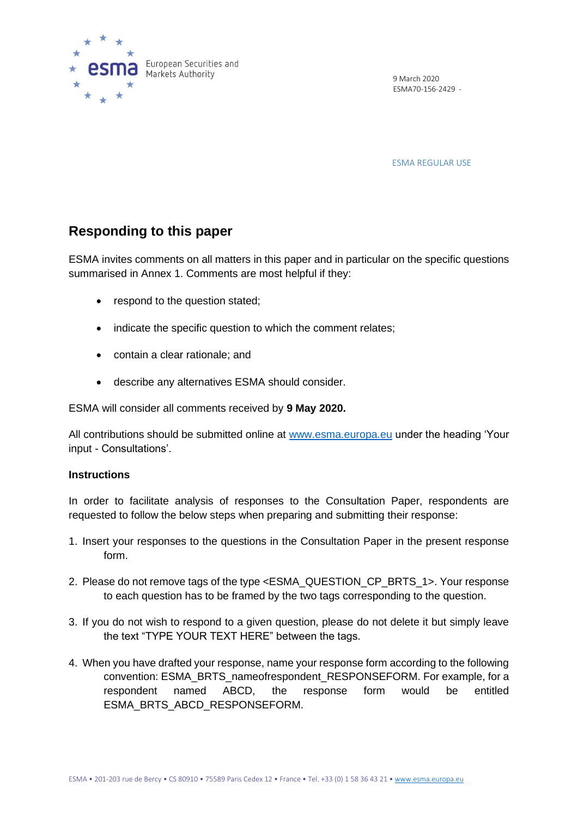

9 March 2020 ESMA70-156-2429 -

ESMA REGULAR USE

## **Responding to this paper**

ESMA invites comments on all matters in this paper and in particular on the specific questions summarised in Annex 1. Comments are most helpful if they:

- respond to the question stated;
- indicate the specific question to which the comment relates:
- contain a clear rationale; and
- describe any alternatives ESMA should consider.

ESMA will consider all comments received by **9 May 2020.** 

All contributions should be submitted online at [www.esma.europa.eu](http://www.esma.europa.eu/) under the heading 'Your input - Consultations'.

## **Instructions**

In order to facilitate analysis of responses to the Consultation Paper, respondents are requested to follow the below steps when preparing and submitting their response:

- 1. Insert your responses to the questions in the Consultation Paper in the present response form.
- 2. Please do not remove tags of the type <ESMA\_QUESTION\_CP\_BRTS\_1>. Your response to each question has to be framed by the two tags corresponding to the question.
- 3. If you do not wish to respond to a given question, please do not delete it but simply leave the text "TYPE YOUR TEXT HERE" between the tags.
- 4. When you have drafted your response, name your response form according to the following convention: ESMA\_BRTS\_nameofrespondent\_RESPONSEFORM. For example, for a respondent named ABCD, the response form would be entitled ESMA\_BRTS\_ABCD\_RESPONSEFORM.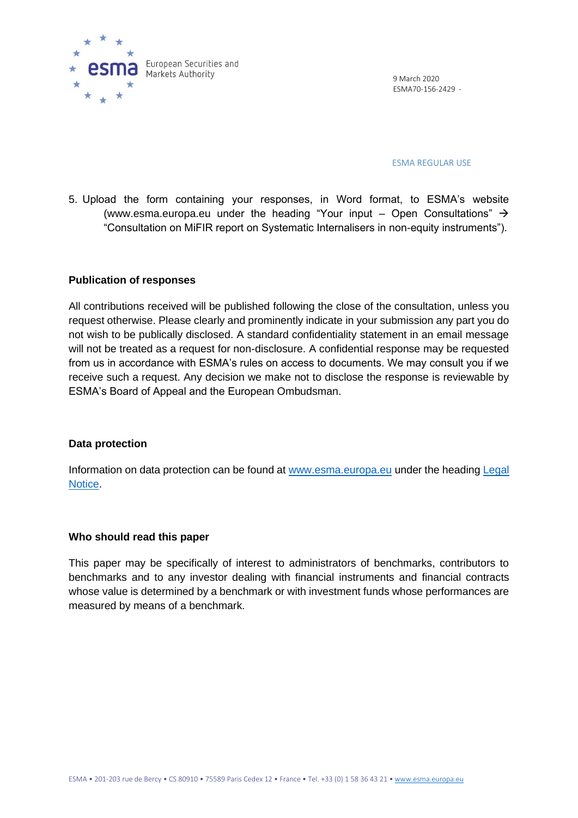

9 March 2020 ESMA70-156-2429 -

ESMA REGULAR USE

5. Upload the form containing your responses, in Word format, to ESMA's website [\(www.esma.europa.eu](http://www.esma.europa.eu/) under the heading "Your input – Open Consultations"  $\rightarrow$ "Consultation on MiFIR report on Systematic Internalisers in non-equity instruments").

### **Publication of responses**

All contributions received will be published following the close of the consultation, unless you request otherwise. Please clearly and prominently indicate in your submission any part you do not wish to be publically disclosed. A standard confidentiality statement in an email message will not be treated as a request for non-disclosure. A confidential response may be requested from us in accordance with ESMA's rules on access to documents. We may consult you if we receive such a request. Any decision we make not to disclose the response is reviewable by ESMA's Board of Appeal and the European Ombudsman.

#### **Data protection**

Information on data protection can be found at [www.esma.europa.eu](http://www.esma.europa.eu/) under the heading Legal [Notice.](http://www.esma.europa.eu/legal-notice)

#### **Who should read this paper**

This paper may be specifically of interest to administrators of benchmarks, contributors to benchmarks and to any investor dealing with financial instruments and financial contracts whose value is determined by a benchmark or with investment funds whose performances are measured by means of a benchmark.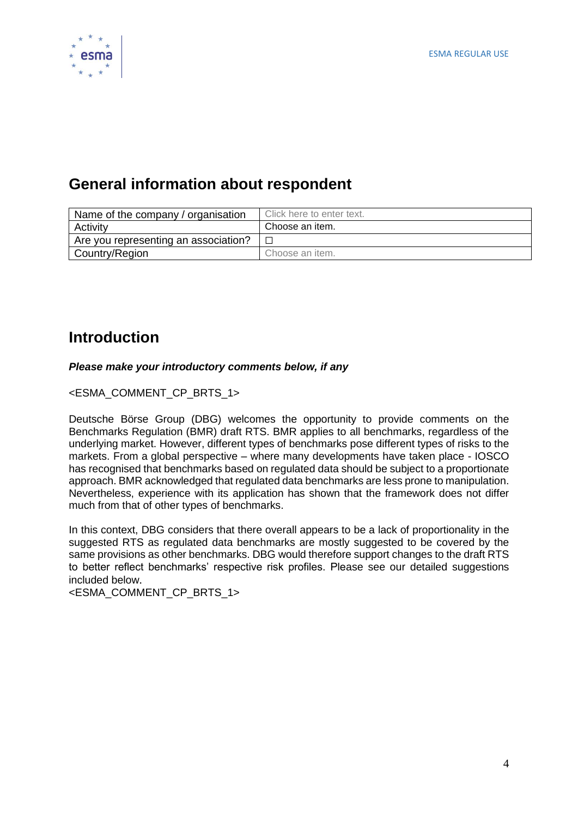

# **General information about respondent**

| Name of the company / organisation   | Click here to enter text. |
|--------------------------------------|---------------------------|
| Activity                             | Choose an item.           |
| Are you representing an association? |                           |
| Country/Region                       | Choose an item.           |

## **Introduction**

## *Please make your introductory comments below, if any*

<ESMA\_COMMENT\_CP\_BRTS\_1>

Deutsche Börse Group (DBG) welcomes the opportunity to provide comments on the Benchmarks Regulation (BMR) draft RTS. BMR applies to all benchmarks, regardless of the underlying market. However, different types of benchmarks pose different types of risks to the markets. From a global perspective – where many developments have taken place - IOSCO has recognised that benchmarks based on regulated data should be subject to a proportionate approach. BMR acknowledged that regulated data benchmarks are less prone to manipulation. Nevertheless, experience with its application has shown that the framework does not differ much from that of other types of benchmarks.

In this context, DBG considers that there overall appears to be a lack of proportionality in the suggested RTS as regulated data benchmarks are mostly suggested to be covered by the same provisions as other benchmarks. DBG would therefore support changes to the draft RTS to better reflect benchmarks' respective risk profiles. Please see our detailed suggestions included below.

<ESMA\_COMMENT\_CP\_BRTS\_1>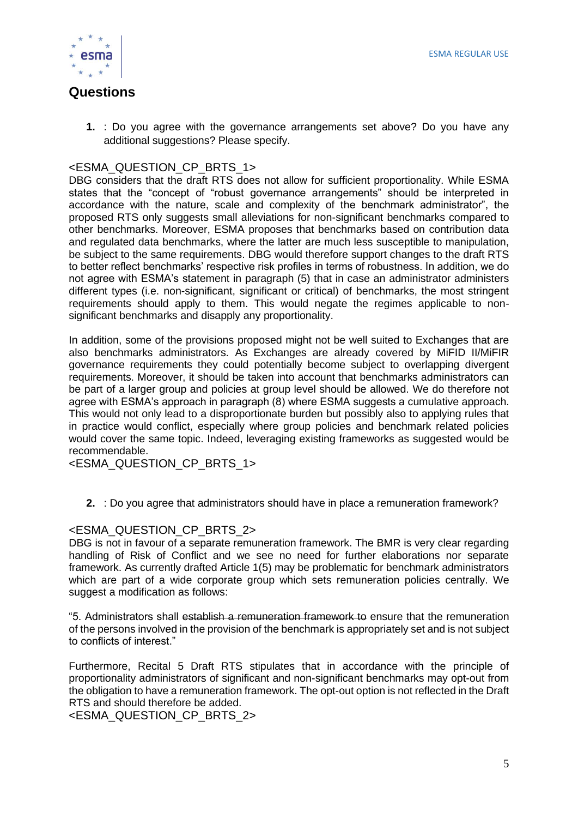

## **Questions**

**1.** : Do you agree with the governance arrangements set above? Do you have any additional suggestions? Please specify.

## <ESMA\_QUESTION\_CP\_BRTS\_1>

DBG considers that the draft RTS does not allow for sufficient proportionality. While ESMA states that the "concept of "robust governance arrangements" should be interpreted in accordance with the nature, scale and complexity of the benchmark administrator", the proposed RTS only suggests small alleviations for non-significant benchmarks compared to other benchmarks. Moreover, ESMA proposes that benchmarks based on contribution data and regulated data benchmarks, where the latter are much less susceptible to manipulation, be subject to the same requirements. DBG would therefore support changes to the draft RTS to better reflect benchmarks' respective risk profiles in terms of robustness. In addition, we do not agree with ESMA's statement in paragraph (5) that in case an administrator administers different types (i.e. non-significant, significant or critical) of benchmarks, the most stringent requirements should apply to them. This would negate the regimes applicable to nonsignificant benchmarks and disapply any proportionality.

In addition, some of the provisions proposed might not be well suited to Exchanges that are also benchmarks administrators. As Exchanges are already covered by MiFID II/MiFIR governance requirements they could potentially become subject to overlapping divergent requirements. Moreover, it should be taken into account that benchmarks administrators can be part of a larger group and policies at group level should be allowed. We do therefore not agree with ESMA's approach in paragraph (8) where ESMA suggests a cumulative approach. This would not only lead to a disproportionate burden but possibly also to applying rules that in practice would conflict, especially where group policies and benchmark related policies would cover the same topic. Indeed, leveraging existing frameworks as suggested would be recommendable.

<ESMA\_QUESTION\_CP\_BRTS\_1>

**2.** : Do you agree that administrators should have in place a remuneration framework?

## <ESMA\_QUESTION\_CP\_BRTS\_2>

DBG is not in favour of a separate remuneration framework. The BMR is very clear regarding handling of Risk of Conflict and we see no need for further elaborations nor separate framework. As currently drafted Article 1(5) may be problematic for benchmark administrators which are part of a wide corporate group which sets remuneration policies centrally. We suggest a modification as follows:

"5. Administrators shall establish a remuneration framework to ensure that the remuneration of the persons involved in the provision of the benchmark is appropriately set and is not subject to conflicts of interest."

Furthermore, Recital 5 Draft RTS stipulates that in accordance with the principle of proportionality administrators of significant and non-significant benchmarks may opt-out from the obligation to have a remuneration framework. The opt-out option is not reflected in the Draft RTS and should therefore be added.

<ESMA\_QUESTION\_CP\_BRTS\_2>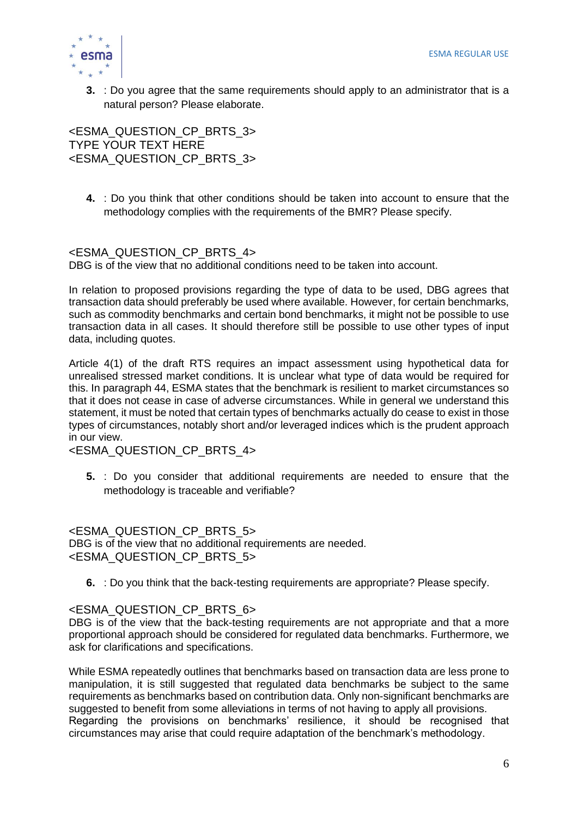

**3.** : Do you agree that the same requirements should apply to an administrator that is a natural person? Please elaborate.

<ESMA\_QUESTION\_CP\_BRTS\_3> TYPE YOUR TEXT HERE <ESMA\_QUESTION\_CP\_BRTS\_3>

**4.** : Do you think that other conditions should be taken into account to ensure that the methodology complies with the requirements of the BMR? Please specify.

## <ESMA\_QUESTION\_CP\_BRTS\_4>

DBG is of the view that no additional conditions need to be taken into account.

In relation to proposed provisions regarding the type of data to be used, DBG agrees that transaction data should preferably be used where available. However, for certain benchmarks, such as commodity benchmarks and certain bond benchmarks, it might not be possible to use transaction data in all cases. It should therefore still be possible to use other types of input data, including quotes.

Article 4(1) of the draft RTS requires an impact assessment using hypothetical data for unrealised stressed market conditions. It is unclear what type of data would be required for this. In paragraph 44, ESMA states that the benchmark is resilient to market circumstances so that it does not cease in case of adverse circumstances. While in general we understand this statement, it must be noted that certain types of benchmarks actually do cease to exist in those types of circumstances, notably short and/or leveraged indices which is the prudent approach in our view.

<ESMA\_QUESTION\_CP\_BRTS\_4>

**5.** : Do you consider that additional requirements are needed to ensure that the methodology is traceable and verifiable?

<ESMA\_QUESTION\_CP\_BRTS\_5> DBG is of the view that no additional requirements are needed. <ESMA\_QUESTION\_CP\_BRTS\_5>

**6.** : Do you think that the back-testing requirements are appropriate? Please specify.

## <ESMA\_QUESTION\_CP\_BRTS\_6>

DBG is of the view that the back-testing requirements are not appropriate and that a more proportional approach should be considered for regulated data benchmarks. Furthermore, we ask for clarifications and specifications.

While ESMA repeatedly outlines that benchmarks based on transaction data are less prone to manipulation, it is still suggested that regulated data benchmarks be subject to the same requirements as benchmarks based on contribution data. Only non-significant benchmarks are suggested to benefit from some alleviations in terms of not having to apply all provisions. Regarding the provisions on benchmarks' resilience, it should be recognised that circumstances may arise that could require adaptation of the benchmark's methodology.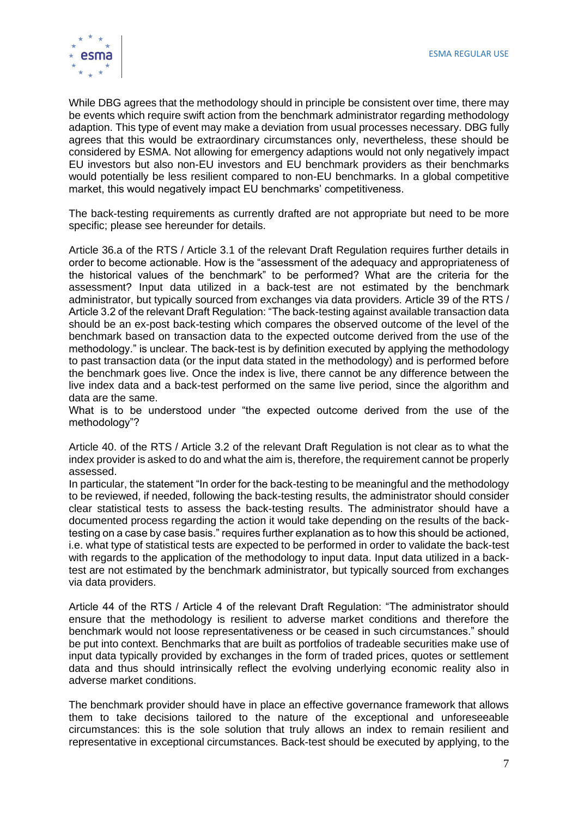

While DBG agrees that the methodology should in principle be consistent over time, there may be events which require swift action from the benchmark administrator regarding methodology adaption. This type of event may make a deviation from usual processes necessary. DBG fully agrees that this would be extraordinary circumstances only, nevertheless, these should be considered by ESMA. Not allowing for emergency adaptions would not only negatively impact EU investors but also non-EU investors and EU benchmark providers as their benchmarks would potentially be less resilient compared to non-EU benchmarks. In a global competitive market, this would negatively impact EU benchmarks' competitiveness.

The back-testing requirements as currently drafted are not appropriate but need to be more specific; please see hereunder for details.

Article 36.a of the RTS / Article 3.1 of the relevant Draft Regulation requires further details in order to become actionable. How is the "assessment of the adequacy and appropriateness of the historical values of the benchmark" to be performed? What are the criteria for the assessment? Input data utilized in a back-test are not estimated by the benchmark administrator, but typically sourced from exchanges via data providers. Article 39 of the RTS / Article 3.2 of the relevant Draft Regulation: "The back-testing against available transaction data should be an ex-post back-testing which compares the observed outcome of the level of the benchmark based on transaction data to the expected outcome derived from the use of the methodology." is unclear. The back-test is by definition executed by applying the methodology to past transaction data (or the input data stated in the methodology) and is performed before the benchmark goes live. Once the index is live, there cannot be any difference between the live index data and a back-test performed on the same live period, since the algorithm and data are the same.

What is to be understood under "the expected outcome derived from the use of the methodology"?

Article 40. of the RTS / Article 3.2 of the relevant Draft Regulation is not clear as to what the index provider is asked to do and what the aim is, therefore, the requirement cannot be properly assessed.

In particular, the statement "In order for the back-testing to be meaningful and the methodology to be reviewed, if needed, following the back-testing results, the administrator should consider clear statistical tests to assess the back-testing results. The administrator should have a documented process regarding the action it would take depending on the results of the backtesting on a case by case basis." requires further explanation as to how this should be actioned, i.e. what type of statistical tests are expected to be performed in order to validate the back-test with regards to the application of the methodology to input data. Input data utilized in a backtest are not estimated by the benchmark administrator, but typically sourced from exchanges via data providers.

Article 44 of the RTS / Article 4 of the relevant Draft Regulation: "The administrator should ensure that the methodology is resilient to adverse market conditions and therefore the benchmark would not loose representativeness or be ceased in such circumstances." should be put into context. Benchmarks that are built as portfolios of tradeable securities make use of input data typically provided by exchanges in the form of traded prices, quotes or settlement data and thus should intrinsically reflect the evolving underlying economic reality also in adverse market conditions.

The benchmark provider should have in place an effective governance framework that allows them to take decisions tailored to the nature of the exceptional and unforeseeable circumstances: this is the sole solution that truly allows an index to remain resilient and representative in exceptional circumstances. Back-test should be executed by applying, to the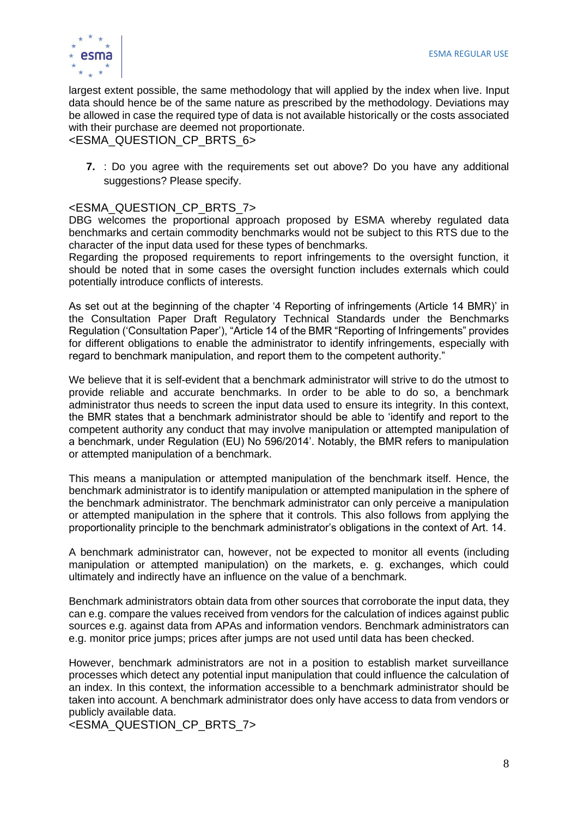

largest extent possible, the same methodology that will applied by the index when live. Input data should hence be of the same nature as prescribed by the methodology. Deviations may be allowed in case the required type of data is not available historically or the costs associated with their purchase are deemed not proportionate.

<ESMA\_QUESTION\_CP\_BRTS\_6>

**7.** : Do you agree with the requirements set out above? Do you have any additional suggestions? Please specify.

## <ESMA\_QUESTION\_CP\_BRTS\_7>

DBG welcomes the proportional approach proposed by ESMA whereby regulated data benchmarks and certain commodity benchmarks would not be subject to this RTS due to the character of the input data used for these types of benchmarks.

Regarding the proposed requirements to report infringements to the oversight function, it should be noted that in some cases the oversight function includes externals which could potentially introduce conflicts of interests.

As set out at the beginning of the chapter '4 Reporting of infringements (Article 14 BMR)' in the Consultation Paper Draft Regulatory Technical Standards under the Benchmarks Regulation ('Consultation Paper'), "Article 14 of the BMR "Reporting of Infringements" provides for different obligations to enable the administrator to identify infringements, especially with regard to benchmark manipulation, and report them to the competent authority."

We believe that it is self-evident that a benchmark administrator will strive to do the utmost to provide reliable and accurate benchmarks. In order to be able to do so, a benchmark administrator thus needs to screen the input data used to ensure its integrity. In this context, the BMR states that a benchmark administrator should be able to 'identify and report to the competent authority any conduct that may involve manipulation or attempted manipulation of a benchmark, under Regulation (EU) No 596/2014'. Notably, the BMR refers to manipulation or attempted manipulation of a benchmark.

This means a manipulation or attempted manipulation of the benchmark itself. Hence, the benchmark administrator is to identify manipulation or attempted manipulation in the sphere of the benchmark administrator. The benchmark administrator can only perceive a manipulation or attempted manipulation in the sphere that it controls. This also follows from applying the proportionality principle to the benchmark administrator's obligations in the context of Art. 14.

A benchmark administrator can, however, not be expected to monitor all events (including manipulation or attempted manipulation) on the markets, e. g. exchanges, which could ultimately and indirectly have an influence on the value of a benchmark.

Benchmark administrators obtain data from other sources that corroborate the input data, they can e.g. compare the values received from vendors for the calculation of indices against public sources e.g. against data from APAs and information vendors. Benchmark administrators can e.g. monitor price jumps; prices after jumps are not used until data has been checked.

However, benchmark administrators are not in a position to establish market surveillance processes which detect any potential input manipulation that could influence the calculation of an index. In this context, the information accessible to a benchmark administrator should be taken into account. A benchmark administrator does only have access to data from vendors or publicly available data.

<ESMA\_QUESTION\_CP\_BRTS\_7>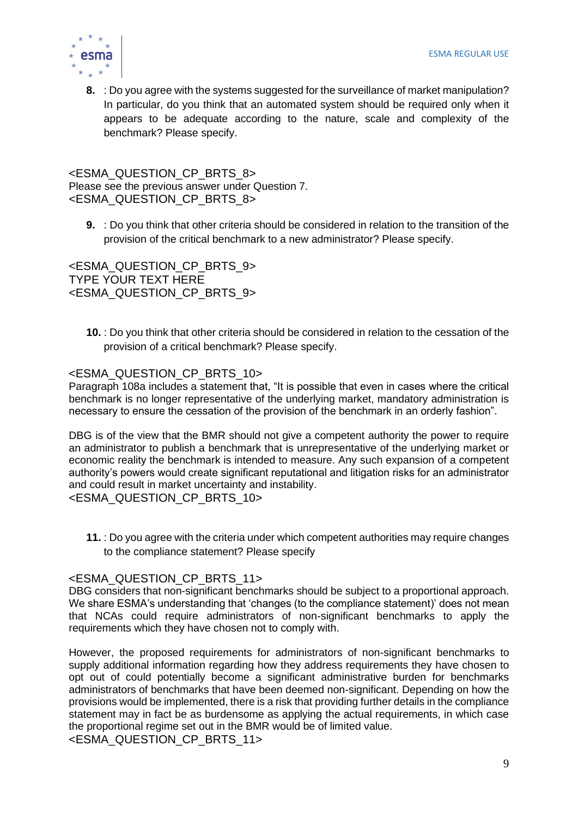

**8.** : Do you agree with the systems suggested for the surveillance of market manipulation? In particular, do you think that an automated system should be required only when it appears to be adequate according to the nature, scale and complexity of the benchmark? Please specify.

<ESMA\_QUESTION\_CP\_BRTS\_8> Please see the previous answer under Question 7. <ESMA\_QUESTION\_CP\_BRTS\_8>

**9.** : Do you think that other criteria should be considered in relation to the transition of the provision of the critical benchmark to a new administrator? Please specify.

<ESMA\_QUESTION\_CP\_BRTS\_9> TYPE YOUR TEXT HERE <ESMA\_QUESTION\_CP\_BRTS\_9>

**10.** : Do you think that other criteria should be considered in relation to the cessation of the provision of a critical benchmark? Please specify.

## <ESMA\_QUESTION\_CP\_BRTS\_10>

Paragraph 108a includes a statement that, "It is possible that even in cases where the critical benchmark is no longer representative of the underlying market, mandatory administration is necessary to ensure the cessation of the provision of the benchmark in an orderly fashion".

DBG is of the view that the BMR should not give a competent authority the power to require an administrator to publish a benchmark that is unrepresentative of the underlying market or economic reality the benchmark is intended to measure. Any such expansion of a competent authority's powers would create significant reputational and litigation risks for an administrator and could result in market uncertainty and instability.

<ESMA\_QUESTION\_CP\_BRTS\_10>

**11.** : Do you agree with the criteria under which competent authorities may require changes to the compliance statement? Please specify

## <ESMA\_QUESTION\_CP\_BRTS\_11>

DBG considers that non-significant benchmarks should be subject to a proportional approach. We share ESMA's understanding that 'changes (to the compliance statement)' does not mean that NCAs could require administrators of non-significant benchmarks to apply the requirements which they have chosen not to comply with.

However, the proposed requirements for administrators of non-significant benchmarks to supply additional information regarding how they address requirements they have chosen to opt out of could potentially become a significant administrative burden for benchmarks administrators of benchmarks that have been deemed non-significant. Depending on how the provisions would be implemented, there is a risk that providing further details in the compliance statement may in fact be as burdensome as applying the actual requirements, in which case the proportional regime set out in the BMR would be of limited value.

<ESMA\_QUESTION\_CP\_BRTS\_11>